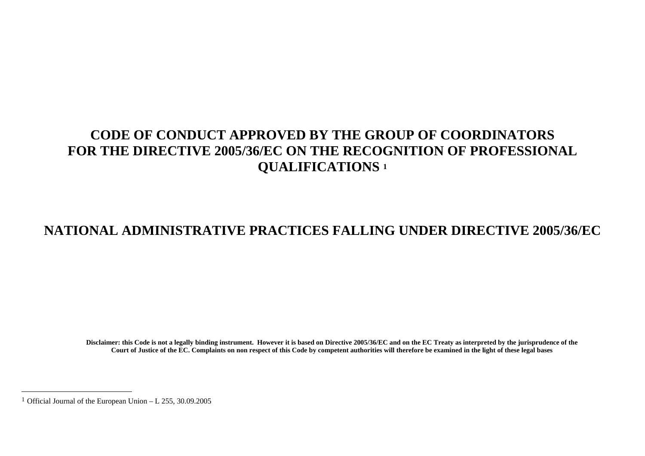# **CODE OF CONDUCT APPROVED BY THE GROUP OF COORDINATORS FOR THE DIRECTIVE 2005/36/EC ON THE RECOGNITION OF PROFESSIONAL QUALIFICATIONS 1**

# **NATIONAL ADMINISTRATIVE PRACTICES FALLING UNDER DIRECTIVE 2005/36/EC**

**Disclaimer: this Code is not a legally binding instrument. However it is based on Directive 2005/36/EC and on the EC Treaty as interpreted by the jurisprudence of the Court of Justice of the EC. Complaints on non respect of this Code by competent authorities will therefore be examined in the light of these legal bases** 

<sup>&</sup>lt;sup>1</sup> Official Journal of the European Union – L 255, 30.09.2005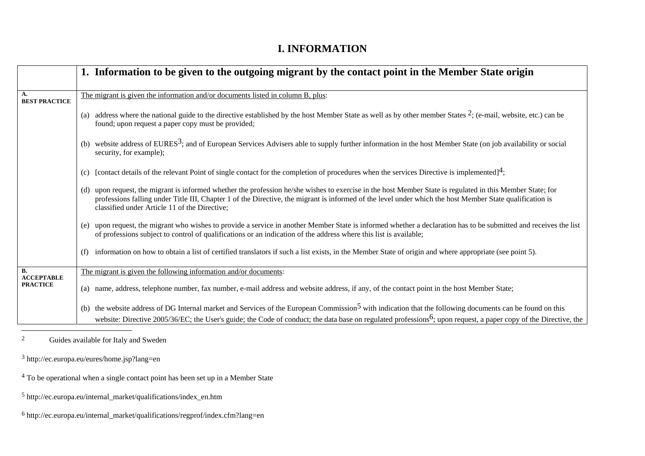#### **I. INFORMATION**

|                                | 1. Information to be given to the outgoing migrant by the contact point in the Member State origin                                                                                                                                                                                                                                                                         |
|--------------------------------|----------------------------------------------------------------------------------------------------------------------------------------------------------------------------------------------------------------------------------------------------------------------------------------------------------------------------------------------------------------------------|
| A.<br><b>BEST PRACTICE</b>     | The migrant is given the information and/or documents listed in column B, plus:                                                                                                                                                                                                                                                                                            |
|                                | address where the national guide to the directive established by the host Member State as well as by other member States $2$ ; (e-mail, website, etc.) can be<br>(a)<br>found; upon request a paper copy must be provided;                                                                                                                                                 |
|                                | website address of EURES <sup>3</sup> ; and of European Services Advisers able to supply further information in the host Member State (on job availability or social<br>security, for example);                                                                                                                                                                            |
|                                | [contact details of the relevant Point of single contact for the completion of procedures when the services Directive is implemented] <sup>4</sup> ;<br>(c)                                                                                                                                                                                                                |
|                                | upon request, the migrant is informed whether the profession he/she wishes to exercise in the host Member State is regulated in this Member State; for<br>(d)<br>professions falling under Title III, Chapter 1 of the Directive, the migrant is informed of the level under which the host Member State qualification is<br>classified under Article 11 of the Directive; |
|                                | upon request, the migrant who wishes to provide a service in another Member State is informed whether a declaration has to be submitted and receives the list<br>(e)<br>of professions subject to control of qualifications or an indication of the address where this list is available;                                                                                  |
|                                | information on how to obtain a list of certified translators if such a list exists, in the Member State of origin and where appropriate (see point 5).<br>(f)                                                                                                                                                                                                              |
| <b>B.</b><br><b>ACCEPTABLE</b> | The migrant is given the following information and/or documents:                                                                                                                                                                                                                                                                                                           |
| <b>PRACTICE</b>                | (a) name, address, telephone number, fax number, e-mail address and website address, if any, of the contact point in the host Member State;                                                                                                                                                                                                                                |
|                                | the website address of DG Internal market and Services of the European Commission <sup>5</sup> with indication that the following documents can be found on this<br>(b)<br>website: Directive 2005/36/EC; the User's guide; the Code of conduct; the data base on regulated professions <sup>6</sup> ; upon request, a paper copy of the Directive, the                    |

2 Guides available for Italy and Sweden

- 4 To be operational when a single contact point has been set up in a Member State
- 5 http://ec.europa.eu/internal\_market/qualifications/index\_en.htm
- $^6$ http://ec.europa.eu/internal\_market/qualifications/regprof/index.cfm?lang=en

<sup>3</sup> http://ec.europa.eu/eures/home.jsp?lang=en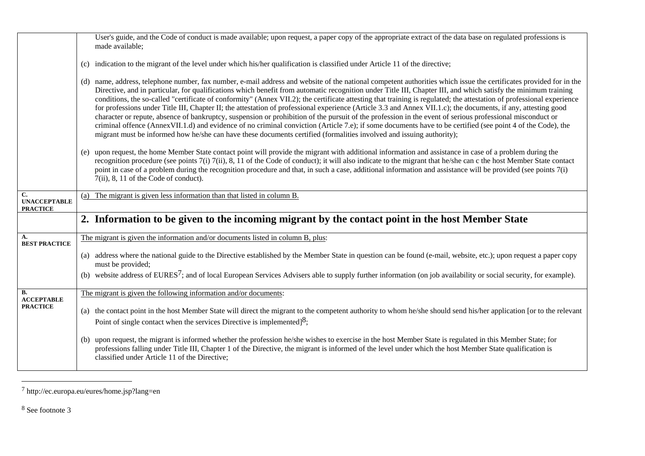|                                              | User's guide, and the Code of conduct is made available; upon request, a paper copy of the appropriate extract of the data base on regulated professions is<br>made available;                                                                                                                                                                                                                                                                                                                                                                                                                                                                                                                                                                                                                                                                                                                                                                                                                                                                                                                                                      |
|----------------------------------------------|-------------------------------------------------------------------------------------------------------------------------------------------------------------------------------------------------------------------------------------------------------------------------------------------------------------------------------------------------------------------------------------------------------------------------------------------------------------------------------------------------------------------------------------------------------------------------------------------------------------------------------------------------------------------------------------------------------------------------------------------------------------------------------------------------------------------------------------------------------------------------------------------------------------------------------------------------------------------------------------------------------------------------------------------------------------------------------------------------------------------------------------|
|                                              |                                                                                                                                                                                                                                                                                                                                                                                                                                                                                                                                                                                                                                                                                                                                                                                                                                                                                                                                                                                                                                                                                                                                     |
|                                              | (c) indication to the migrant of the level under which his/her qualification is classified under Article 11 of the directive;                                                                                                                                                                                                                                                                                                                                                                                                                                                                                                                                                                                                                                                                                                                                                                                                                                                                                                                                                                                                       |
|                                              | (d) name, address, telephone number, fax number, e-mail address and website of the national competent authorities which issue the certificates provided for in the<br>Directive, and in particular, for qualifications which benefit from automatic recognition under Title III, Chapter III, and which satisfy the minimum training<br>conditions, the so-called "certificate of conformity" (Annex VII.2); the certificate attesting that training is regulated; the attestation of professional experience<br>for professions under Title III, Chapter II; the attestation of professional experience (Article 3.3 and Annex VII.1.c); the documents, if any, attesting good<br>character or repute, absence of bankruptcy, suspension or prohibition of the pursuit of the profession in the event of serious professional misconduct or<br>criminal offence (AnnexVII.1.d) and evidence of no criminal conviction (Article 7.e); if some documents have to be certified (see point 4 of the Code), the<br>migrant must be informed how he/she can have these documents certified (formalities involved and issuing authority); |
|                                              | (e) upon request, the home Member State contact point will provide the migrant with additional information and assistance in case of a problem during the<br>recognition procedure (see points 7(i) 7(ii), 8, 11 of the Code of conduct); it will also indicate to the migrant that he/she can c the host Member State contact<br>point in case of a problem during the recognition procedure and that, in such a case, additional information and assistance will be provided (see points 7(i)<br>7(ii), 8, 11 of the Code of conduct).                                                                                                                                                                                                                                                                                                                                                                                                                                                                                                                                                                                            |
| C.<br><b>UNACCEPTABLE</b><br><b>PRACTICE</b> | (a) The migrant is given less information than that listed in column B.                                                                                                                                                                                                                                                                                                                                                                                                                                                                                                                                                                                                                                                                                                                                                                                                                                                                                                                                                                                                                                                             |
|                                              | 2. Information to be given to the incoming migrant by the contact point in the host Member State                                                                                                                                                                                                                                                                                                                                                                                                                                                                                                                                                                                                                                                                                                                                                                                                                                                                                                                                                                                                                                    |
| A.<br><b>BEST PRACTICE</b>                   | The migrant is given the information and/or documents listed in column B, plus:                                                                                                                                                                                                                                                                                                                                                                                                                                                                                                                                                                                                                                                                                                                                                                                                                                                                                                                                                                                                                                                     |
|                                              | (a) address where the national guide to the Directive established by the Member State in question can be found (e-mail, website, etc.); upon request a paper copy<br>must be provided;                                                                                                                                                                                                                                                                                                                                                                                                                                                                                                                                                                                                                                                                                                                                                                                                                                                                                                                                              |
|                                              | (b) website address of EURES <sup>7</sup> ; and of local European Services Advisers able to supply further information (on job availability or social security, for example).                                                                                                                                                                                                                                                                                                                                                                                                                                                                                                                                                                                                                                                                                                                                                                                                                                                                                                                                                       |
| В.<br><b>ACCEPTABLE</b>                      | The migrant is given the following information and/or documents:                                                                                                                                                                                                                                                                                                                                                                                                                                                                                                                                                                                                                                                                                                                                                                                                                                                                                                                                                                                                                                                                    |
| <b>PRACTICE</b>                              | (a) the contact point in the host Member State will direct the migrant to the competent authority to whom he/she should send his/her application [or to the relevant<br>Point of single contact when the services Directive is implemented $]^{8}$ ;                                                                                                                                                                                                                                                                                                                                                                                                                                                                                                                                                                                                                                                                                                                                                                                                                                                                                |
|                                              | (b) upon request, the migrant is informed whether the profession he/she wishes to exercise in the host Member State is regulated in this Member State; for<br>professions falling under Title III, Chapter 1 of the Directive, the migrant is informed of the level under which the host Member State qualification is<br>classified under Article 11 of the Directive;                                                                                                                                                                                                                                                                                                                                                                                                                                                                                                                                                                                                                                                                                                                                                             |

<sup>7</sup> http://ec.europa.eu/eures/home.jsp?lang=en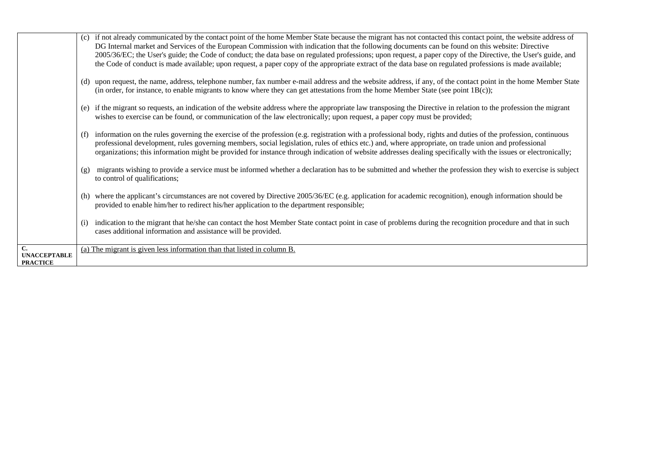|                                                        | if not already communicated by the contact point of the home Member State because the migrant has not contacted this contact point, the website address of<br>(c)<br>DG Internal market and Services of the European Commission with indication that the following documents can be found on this website: Directive<br>2005/36/EC; the User's guide; the Code of conduct; the data base on regulated professions; upon request, a paper copy of the Directive, the User's guide, and<br>the Code of conduct is made available; upon request, a paper copy of the appropriate extract of the data base on regulated professions is made available; |
|--------------------------------------------------------|----------------------------------------------------------------------------------------------------------------------------------------------------------------------------------------------------------------------------------------------------------------------------------------------------------------------------------------------------------------------------------------------------------------------------------------------------------------------------------------------------------------------------------------------------------------------------------------------------------------------------------------------------|
|                                                        | upon request, the name, address, telephone number, fax number e-mail address and the website address, if any, of the contact point in the home Member State<br>(d)<br>(in order, for instance, to enable migrants to know where they can get attestations from the home Member State (see point $1B(c)$ );                                                                                                                                                                                                                                                                                                                                         |
|                                                        | if the migrant so requests, an indication of the website address where the appropriate law transposing the Directive in relation to the profession the migrant<br>(e)<br>wishes to exercise can be found, or communication of the law electronically; upon request, a paper copy must be provided;                                                                                                                                                                                                                                                                                                                                                 |
|                                                        | information on the rules governing the exercise of the profession (e.g. registration with a professional body, rights and duties of the profession, continuous<br>(f)<br>professional development, rules governing members, social legislation, rules of ethics etc.) and, where appropriate, on trade union and professional<br>organizations; this information might be provided for instance through indication of website addresses dealing specifically with the issues or electronically;                                                                                                                                                    |
|                                                        | migrants wishing to provide a service must be informed whether a declaration has to be submitted and whether the profession they wish to exercise is subject<br>(g)<br>to control of qualifications;                                                                                                                                                                                                                                                                                                                                                                                                                                               |
|                                                        | where the applicant's circumstances are not covered by Directive 2005/36/EC (e.g. application for academic recognition), enough information should be<br>(h)<br>provided to enable him/her to redirect his/her application to the department responsible;                                                                                                                                                                                                                                                                                                                                                                                          |
|                                                        | indication to the migrant that he/she can contact the host Member State contact point in case of problems during the recognition procedure and that in such<br>(i)<br>cases additional information and assistance will be provided.                                                                                                                                                                                                                                                                                                                                                                                                                |
| $\mathbf{C}$<br><b>UNACCEPTABLE</b><br><b>PRACTICE</b> | (a) The migrant is given less information than that listed in column B.                                                                                                                                                                                                                                                                                                                                                                                                                                                                                                                                                                            |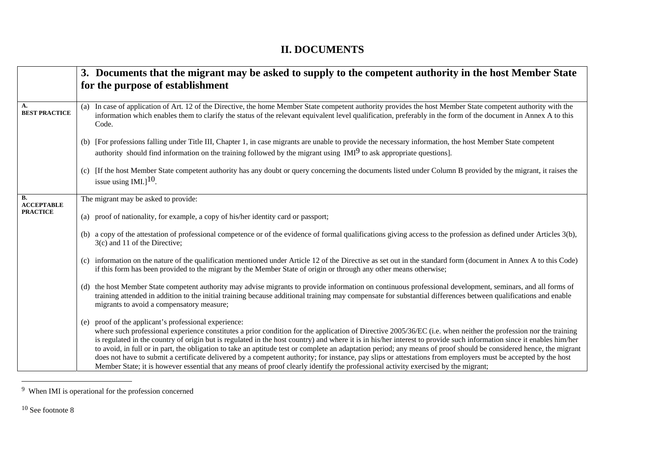## **II. DOCUMENTS**

|                            | 3. Documents that the migrant may be asked to supply to the competent authority in the host Member State                                                                                                                                                                                                                                                                                                                                                                                                                                                                                                                                                                                                                                                                                                                                                                         |
|----------------------------|----------------------------------------------------------------------------------------------------------------------------------------------------------------------------------------------------------------------------------------------------------------------------------------------------------------------------------------------------------------------------------------------------------------------------------------------------------------------------------------------------------------------------------------------------------------------------------------------------------------------------------------------------------------------------------------------------------------------------------------------------------------------------------------------------------------------------------------------------------------------------------|
|                            | for the purpose of establishment                                                                                                                                                                                                                                                                                                                                                                                                                                                                                                                                                                                                                                                                                                                                                                                                                                                 |
|                            |                                                                                                                                                                                                                                                                                                                                                                                                                                                                                                                                                                                                                                                                                                                                                                                                                                                                                  |
| A.<br><b>BEST PRACTICE</b> | In case of application of Art. 12 of the Directive, the home Member State competent authority provides the host Member State competent authority with the<br>(a)<br>information which enables them to clarify the status of the relevant equivalent level qualification, preferably in the form of the document in Annex A to this<br>Code.                                                                                                                                                                                                                                                                                                                                                                                                                                                                                                                                      |
|                            | (b) [For professions falling under Title III, Chapter 1, in case migrants are unable to provide the necessary information, the host Member State competent<br>authority should find information on the training followed by the migrant using $IMI9$ to ask appropriate questions].                                                                                                                                                                                                                                                                                                                                                                                                                                                                                                                                                                                              |
|                            | (c) If the host Member State competent authority has any doubt or query concerning the documents listed under Column B provided by the migrant, it raises the<br>issue using $IML$ <sup>10</sup> .                                                                                                                                                                                                                                                                                                                                                                                                                                                                                                                                                                                                                                                                               |
| В.<br><b>ACCEPTABLE</b>    | The migrant may be asked to provide:                                                                                                                                                                                                                                                                                                                                                                                                                                                                                                                                                                                                                                                                                                                                                                                                                                             |
| <b>PRACTICE</b>            | (a) proof of nationality, for example, a copy of his/her identity card or passport;                                                                                                                                                                                                                                                                                                                                                                                                                                                                                                                                                                                                                                                                                                                                                                                              |
|                            | (b) a copy of the attestation of professional competence or of the evidence of formal qualifications giving access to the profession as defined under Articles 3(b),<br>3(c) and 11 of the Directive;                                                                                                                                                                                                                                                                                                                                                                                                                                                                                                                                                                                                                                                                            |
|                            | information on the nature of the qualification mentioned under Article 12 of the Directive as set out in the standard form (document in Annex A to this Code)<br>(c)<br>if this form has been provided to the migrant by the Member State of origin or through any other means otherwise;                                                                                                                                                                                                                                                                                                                                                                                                                                                                                                                                                                                        |
|                            | the host Member State competent authority may advise migrants to provide information on continuous professional development, seminars, and all forms of<br>(d)<br>training attended in addition to the initial training because additional training may compensate for substantial differences between qualifications and enable<br>migrants to avoid a compensatory measure;                                                                                                                                                                                                                                                                                                                                                                                                                                                                                                    |
|                            | proof of the applicant's professional experience:<br>(e)<br>where such professional experience constitutes a prior condition for the application of Directive 2005/36/EC (i.e. when neither the profession nor the training<br>is regulated in the country of origin but is regulated in the host country) and where it is in his/her interest to provide such information since it enables him/her<br>to avoid, in full or in part, the obligation to take an aptitude test or complete an adaptation period; any means of proof should be considered hence, the migrant<br>does not have to submit a certificate delivered by a competent authority; for instance, pay slips or attestations from employers must be accepted by the host<br>Member State; it is however essential that any means of proof clearly identify the professional activity exercised by the migrant; |

<sup>&</sup>lt;u> 1990 - Johann Barnett, fransk politiker</u> 9 When IMI is operational for the profession concerned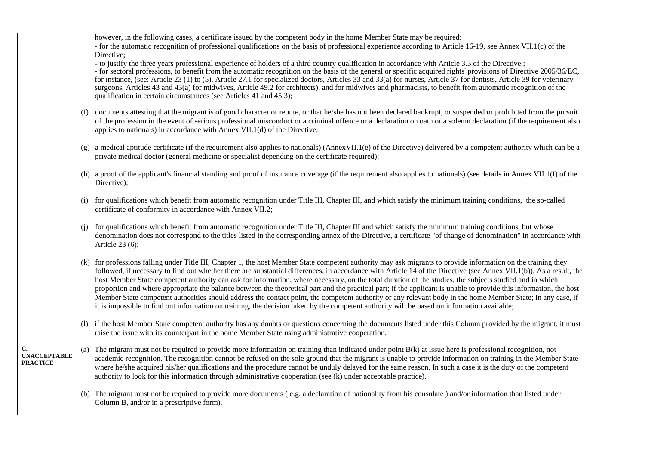|                                        |     | however, in the following cases, a certificate issued by the competent body in the home Member State may be required:<br>- for the automatic recognition of professional qualifications on the basis of professional experience according to Article 16-19, see Annex VII.1(c) of the                                                                                                                                                                                                                                                                                                                                                                                                                                                                                                                                                                                                                                                                                                |
|----------------------------------------|-----|--------------------------------------------------------------------------------------------------------------------------------------------------------------------------------------------------------------------------------------------------------------------------------------------------------------------------------------------------------------------------------------------------------------------------------------------------------------------------------------------------------------------------------------------------------------------------------------------------------------------------------------------------------------------------------------------------------------------------------------------------------------------------------------------------------------------------------------------------------------------------------------------------------------------------------------------------------------------------------------|
|                                        |     | Directive;<br>- to justify the three years professional experience of holders of a third country qualification in accordance with Article 3.3 of the Directive;<br>- for sectoral professions, to benefit from the automatic recognition on the basis of the general or specific acquired rights' provisions of Directive 2005/36/EC,<br>for instance, (see: Article 23 (1) to (5), Article 27.1 for specialized doctors, Articles 33 and 33(a) for nurses, Article 37 for dentists, Article 39 for veterinary<br>surgeons, Articles 43 and 43(a) for midwives, Article 49.2 for architects), and for midwives and pharmacists, to benefit from automatic recognition of the<br>qualification in certain circumstances (see Articles 41 and 45.3);                                                                                                                                                                                                                                   |
|                                        | (f) | documents attesting that the migrant is of good character or repute, or that he/she has not been declared bankrupt, or suspended or prohibited from the pursuit<br>of the profession in the event of serious professional misconduct or a criminal offence or a declaration on oath or a solemn declaration (if the requirement also<br>applies to nationals) in accordance with Annex VII.1(d) of the Directive;                                                                                                                                                                                                                                                                                                                                                                                                                                                                                                                                                                    |
|                                        |     | (g) a medical aptitude certificate (if the requirement also applies to nationals) (AnnexVII.1(e) of the Directive) delivered by a competent authority which can be a<br>private medical doctor (general medicine or specialist depending on the certificate required);                                                                                                                                                                                                                                                                                                                                                                                                                                                                                                                                                                                                                                                                                                               |
|                                        |     | (h) a proof of the applicant's financial standing and proof of insurance coverage (if the requirement also applies to nationals) (see details in Annex VII.1(f) of the<br>Directive);                                                                                                                                                                                                                                                                                                                                                                                                                                                                                                                                                                                                                                                                                                                                                                                                |
|                                        | (i) | for qualifications which benefit from automatic recognition under Title III, Chapter III, and which satisfy the minimum training conditions, the so-called<br>certificate of conformity in accordance with Annex VII.2;                                                                                                                                                                                                                                                                                                                                                                                                                                                                                                                                                                                                                                                                                                                                                              |
|                                        | (i) | for qualifications which benefit from automatic recognition under Title III, Chapter III and which satisfy the minimum training conditions, but whose<br>denomination does not correspond to the titles listed in the corresponding annex of the Directive, a certificate "of change of denomination" in accordance with<br>Article 23 (6);                                                                                                                                                                                                                                                                                                                                                                                                                                                                                                                                                                                                                                          |
|                                        |     | (k) for professions falling under Title III, Chapter 1, the host Member State competent authority may ask migrants to provide information on the training they<br>followed, if necessary to find out whether there are substantial differences, in accordance with Article 14 of the Directive (see Annex VII.1(b)). As a result, the<br>host Member State competent authority can ask for information, where necessary, on the total duration of the studies, the subjects studied and in which<br>proportion and where appropriate the balance between the theoretical part and the practical part; if the applicant is unable to provide this information, the host<br>Member State competent authorities should address the contact point, the competent authority or any relevant body in the home Member State; in any case, if<br>it is impossible to find out information on training, the decision taken by the competent authority will be based on information available; |
|                                        | (1) | if the host Member State competent authority has any doubts or questions concerning the documents listed under this Column provided by the migrant, it must<br>raise the issue with its counterpart in the home Member State using administrative cooperation.                                                                                                                                                                                                                                                                                                                                                                                                                                                                                                                                                                                                                                                                                                                       |
| <b>UNACCEPTABLE</b><br><b>PRACTICE</b> | (a) | The migrant must not be required to provide more information on training than indicated under point $B(k)$ at issue here is professional recognition, not<br>academic recognition. The recognition cannot be refused on the sole ground that the migrant is unable to provide information on training in the Member State<br>where he/she acquired his/her qualifications and the procedure cannot be unduly delayed for the same reason. In such a case it is the duty of the competent<br>authority to look for this information through administrative cooperation (see (k) under acceptable practice).                                                                                                                                                                                                                                                                                                                                                                           |
|                                        |     | (b) The migrant must not be required to provide more documents (e.g. a declaration of nationality from his consulate) and/or information than listed under<br>Column B, and/or in a prescriptive form).                                                                                                                                                                                                                                                                                                                                                                                                                                                                                                                                                                                                                                                                                                                                                                              |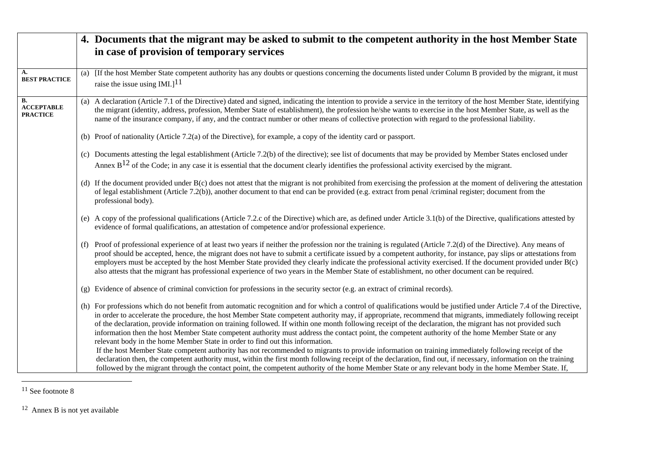|                                                   | 4. Documents that the migrant may be asked to submit to the competent authority in the host Member State<br>in case of provision of temporary services                                                                                                                                                                                                                                                                                                                                                                                                                                                                                                                                                                                                                                                                                                                                                                                                                                                                                                                                                                                                                                                                        |
|---------------------------------------------------|-------------------------------------------------------------------------------------------------------------------------------------------------------------------------------------------------------------------------------------------------------------------------------------------------------------------------------------------------------------------------------------------------------------------------------------------------------------------------------------------------------------------------------------------------------------------------------------------------------------------------------------------------------------------------------------------------------------------------------------------------------------------------------------------------------------------------------------------------------------------------------------------------------------------------------------------------------------------------------------------------------------------------------------------------------------------------------------------------------------------------------------------------------------------------------------------------------------------------------|
| A.<br><b>BEST PRACTICE</b>                        | [If the host Member State competent authority has any doubts or questions concerning the documents listed under Column B provided by the migrant, it must<br>(a)<br>raise the issue using IMI.] $11$                                                                                                                                                                                                                                                                                                                                                                                                                                                                                                                                                                                                                                                                                                                                                                                                                                                                                                                                                                                                                          |
| <b>B.</b><br><b>ACCEPTABLE</b><br><b>PRACTICE</b> | (a) A declaration (Article 7.1 of the Directive) dated and signed, indicating the intention to provide a service in the territory of the host Member State, identifying<br>the migrant (identity, address, profession, Member State of establishment), the profession he/she wants to exercise in the host Member State, as well as the<br>name of the insurance company, if any, and the contract number or other means of collective protection with regard to the professional liability.                                                                                                                                                                                                                                                                                                                                                                                                                                                                                                                                                                                                                                                                                                                                  |
|                                                   | (b) Proof of nationality (Article 7.2(a) of the Directive), for example, a copy of the identity card or passport.                                                                                                                                                                                                                                                                                                                                                                                                                                                                                                                                                                                                                                                                                                                                                                                                                                                                                                                                                                                                                                                                                                             |
|                                                   | (c) Documents attesting the legal establishment (Article 7.2(b) of the directive); see list of documents that may be provided by Member States enclosed under<br>Annex $B^{12}$ of the Code; in any case it is essential that the document clearly identifies the professional activity exercised by the migrant.                                                                                                                                                                                                                                                                                                                                                                                                                                                                                                                                                                                                                                                                                                                                                                                                                                                                                                             |
|                                                   | (d) If the document provided under B(c) does not attest that the migrant is not prohibited from exercising the profession at the moment of delivering the attestation<br>of legal establishment (Article 7.2(b)), another document to that end can be provided (e.g. extract from penal /criminal register; document from the<br>professional body).                                                                                                                                                                                                                                                                                                                                                                                                                                                                                                                                                                                                                                                                                                                                                                                                                                                                          |
|                                                   | (e) A copy of the professional qualifications (Article 7.2.c of the Directive) which are, as defined under Article 3.1(b) of the Directive, qualifications attested by<br>evidence of formal qualifications, an attestation of competence and/or professional experience.                                                                                                                                                                                                                                                                                                                                                                                                                                                                                                                                                                                                                                                                                                                                                                                                                                                                                                                                                     |
|                                                   | (f) Proof of professional experience of at least two years if neither the profession nor the training is regulated (Article 7.2(d) of the Directive). Any means of<br>proof should be accepted, hence, the migrant does not have to submit a certificate issued by a competent authority, for instance, pay slips or attestations from<br>employers must be accepted by the host Member State provided they clearly indicate the professional activity exercised. If the document provided under B(c)<br>also attests that the migrant has professional experience of two years in the Member State of establishment, no other document can be required.                                                                                                                                                                                                                                                                                                                                                                                                                                                                                                                                                                      |
|                                                   | (g) Evidence of absence of criminal conviction for professions in the security sector (e.g. an extract of criminal records).                                                                                                                                                                                                                                                                                                                                                                                                                                                                                                                                                                                                                                                                                                                                                                                                                                                                                                                                                                                                                                                                                                  |
|                                                   | (h) For professions which do not benefit from automatic recognition and for which a control of qualifications would be justified under Article 7.4 of the Directive,<br>in order to accelerate the procedure, the host Member State competent authority may, if appropriate, recommend that migrants, immediately following receipt<br>of the declaration, provide information on training followed. If within one month following receipt of the declaration, the migrant has not provided such<br>information then the host Member State competent authority must address the contact point, the competent authority of the home Member State or any<br>relevant body in the home Member State in order to find out this information.<br>If the host Member State competent authority has not recommended to migrants to provide information on training immediately following receipt of the<br>declaration then, the competent authority must, within the first month following receipt of the declaration, find out, if necessary, information on the training<br>followed by the migrant through the contact point, the competent authority of the home Member State or any relevant body in the home Member State. If, |

12 Annex B is not yet available

<sup>&</sup>lt;sup>11</sup> See footnote 8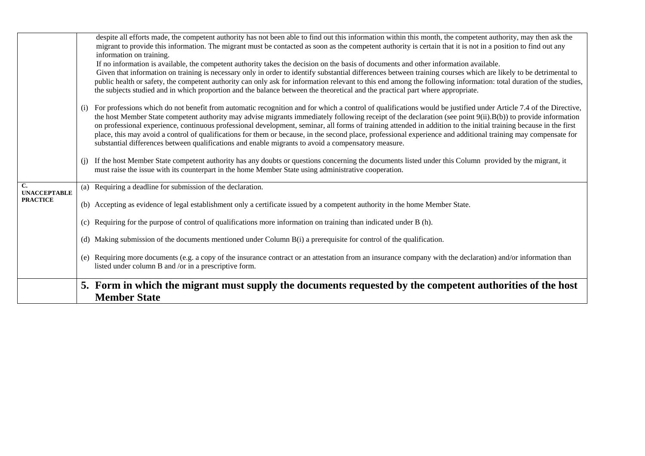|                                       |                    | despite all efforts made, the competent authority has not been able to find out this information within this month, the competent authority, may then ask the<br>migrant to provide this information. The migrant must be contacted as soon as the competent authority is certain that it is not in a position to find out any<br>information on training.<br>If no information is available, the competent authority takes the decision on the basis of documents and other information available.<br>Given that information on training is necessary only in order to identify substantial differences between training courses which are likely to be detrimental to<br>public health or safety, the competent authority can only ask for information relevant to this end among the following information: total duration of the studies, |
|---------------------------------------|--------------------|-----------------------------------------------------------------------------------------------------------------------------------------------------------------------------------------------------------------------------------------------------------------------------------------------------------------------------------------------------------------------------------------------------------------------------------------------------------------------------------------------------------------------------------------------------------------------------------------------------------------------------------------------------------------------------------------------------------------------------------------------------------------------------------------------------------------------------------------------|
|                                       |                    | the subjects studied and in which proportion and the balance between the theoretical and the practical part where appropriate.                                                                                                                                                                                                                                                                                                                                                                                                                                                                                                                                                                                                                                                                                                                |
|                                       | $\left( 1 \right)$ | For professions which do not benefit from automatic recognition and for which a control of qualifications would be justified under Article 7.4 of the Directive,<br>the host Member State competent authority may advise migrants immediately following receipt of the declaration (see point 9(ii). B(b)) to provide information<br>on professional experience, continuous professional development, seminar, all forms of training attended in addition to the initial training because in the first<br>place, this may avoid a control of qualifications for them or because, in the second place, professional experience and additional training may compensate for<br>substantial differences between qualifications and enable migrants to avoid a compensatory measure.                                                               |
|                                       | (i)                | If the host Member State competent authority has any doubts or questions concerning the documents listed under this Column provided by the migrant, it<br>must raise the issue with its counterpart in the home Member State using administrative cooperation.                                                                                                                                                                                                                                                                                                                                                                                                                                                                                                                                                                                |
| $\mathbf{C}$ .<br><b>UNACCEPTABLE</b> | (a)                | Requiring a deadline for submission of the declaration.                                                                                                                                                                                                                                                                                                                                                                                                                                                                                                                                                                                                                                                                                                                                                                                       |
| <b>PRACTICE</b>                       |                    | (b) Accepting as evidence of legal establishment only a certificate issued by a competent authority in the home Member State.                                                                                                                                                                                                                                                                                                                                                                                                                                                                                                                                                                                                                                                                                                                 |
|                                       | (c)                | Requiring for the purpose of control of qualifications more information on training than indicated under B (h).                                                                                                                                                                                                                                                                                                                                                                                                                                                                                                                                                                                                                                                                                                                               |
|                                       |                    | (d) Making submission of the documents mentioned under Column $B(i)$ a prerequisite for control of the qualification.                                                                                                                                                                                                                                                                                                                                                                                                                                                                                                                                                                                                                                                                                                                         |
|                                       |                    | (e) Requiring more documents (e.g. a copy of the insurance contract or an attestation from an insurance company with the declaration) and/or information than<br>listed under column B and /or in a prescriptive form.                                                                                                                                                                                                                                                                                                                                                                                                                                                                                                                                                                                                                        |
|                                       |                    | 5. Form in which the migrant must supply the documents requested by the competent authorities of the host<br><b>Member State</b>                                                                                                                                                                                                                                                                                                                                                                                                                                                                                                                                                                                                                                                                                                              |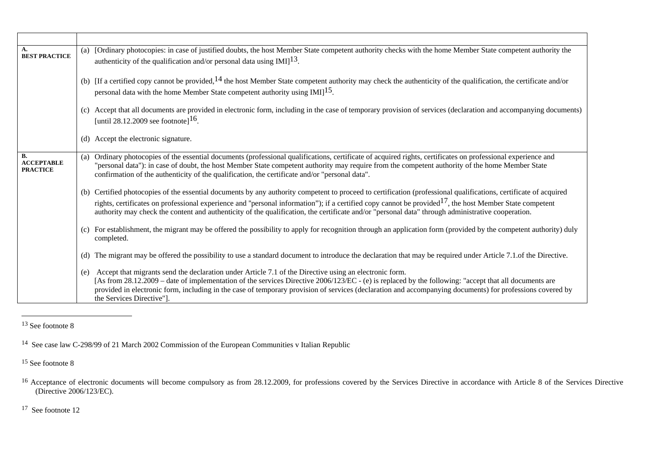| A.<br><b>BEST PRACTICE</b>                 | (a) [Ordinary photocopies: in case of justified doubts, the host Member State competent authority checks with the home Member State competent authority the<br>authenticity of the qualification and/or personal data using $IMI$ <sup>13</sup> .                                                                                                                                                                                                                                             |
|--------------------------------------------|-----------------------------------------------------------------------------------------------------------------------------------------------------------------------------------------------------------------------------------------------------------------------------------------------------------------------------------------------------------------------------------------------------------------------------------------------------------------------------------------------|
|                                            | (b) [If a certified copy cannot be provided, $14$ the host Member State competent authority may check the authenticity of the qualification, the certificate and/or<br>personal data with the home Member State competent authority using IMI] <sup>15</sup> .                                                                                                                                                                                                                                |
|                                            | (c) Accept that all documents are provided in electronic form, including in the case of temporary provision of services (declaration and accompanying documents)<br>[until 28.12.2009 see footnote] <sup>16</sup> .                                                                                                                                                                                                                                                                           |
|                                            | (d) Accept the electronic signature.                                                                                                                                                                                                                                                                                                                                                                                                                                                          |
| B.<br><b>ACCEPTABLE</b><br><b>PRACTICE</b> | Ordinary photocopies of the essential documents (professional qualifications, certificate of acquired rights, certificates on professional experience and<br>(a)<br>"personal data"): in case of doubt, the host Member State competent authority may require from the competent authority of the home Member State<br>confirmation of the authenticity of the qualification, the certificate and/or "personal data".                                                                         |
|                                            | (b) Certified photocopies of the essential documents by any authority competent to proceed to certification (professional qualifications, certificate of acquired<br>rights, certificates on professional experience and "personal information"); if a certified copy cannot be provided <sup>17</sup> , the host Member State competent<br>authority may check the content and authoriticty of the qualification, the certificate and/or "personal data" through administrative cooperation. |
|                                            | (c) For establishment, the migrant may be offered the possibility to apply for recognition through an application form (provided by the competent authority) duly<br>completed.                                                                                                                                                                                                                                                                                                               |
|                                            | The migrant may be offered the possibility to use a standard document to introduce the declaration that may be required under Article 7.1. of the Directive.<br>(d)                                                                                                                                                                                                                                                                                                                           |
|                                            | Accept that migrants send the declaration under Article 7.1 of the Directive using an electronic form.<br>(e)<br>[As from 28.12.2009 – date of implementation of the services Directive 2006/123/EC - (e) is replaced by the following: "accept that all documents are<br>provided in electronic form, including in the case of temporary provision of services (declaration and accompanying documents) for professions covered by<br>the Services Directive"].                              |

<sup>&</sup>lt;sup>13</sup> See footnote 8

<sup>15</sup> See footnote 8

<sup>14</sup> See case law C-298/99 of 21 March 2002 Commission of the European Communities v Italian Republic

<sup>&</sup>lt;sup>16</sup> Acceptance of electronic documents will become compulsory as from 28.12.2009, for professions covered by the Services Directive in accordance with Article 8 of the Services Directive (Directive 2006/123/EC).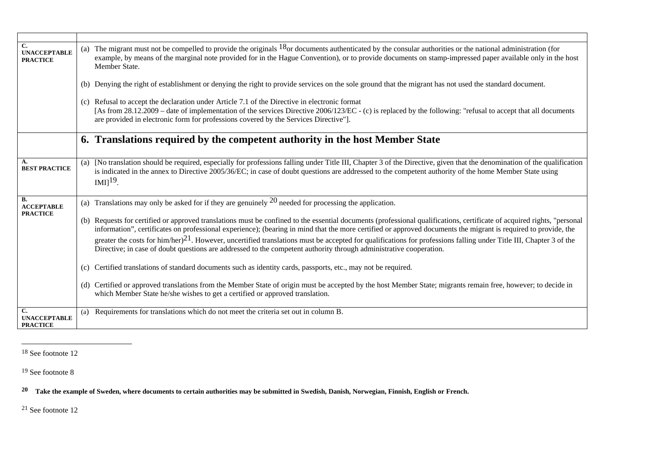| C.<br><b>UNACCEPTABLE</b><br><b>PRACTICE</b> | The migrant must not be compelled to provide the originals $18$ or documents authenticated by the consular authorities or the national administration (for<br>(a)<br>example, by means of the marginal note provided for in the Hague Convention), or to provide documents on stamp-impressed paper available only in the host<br>Member State.                                                                                                                                                                                                                                                                                          |
|----------------------------------------------|------------------------------------------------------------------------------------------------------------------------------------------------------------------------------------------------------------------------------------------------------------------------------------------------------------------------------------------------------------------------------------------------------------------------------------------------------------------------------------------------------------------------------------------------------------------------------------------------------------------------------------------|
|                                              | Denying the right of establishment or denying the right to provide services on the sole ground that the migrant has not used the standard document.<br>(b)                                                                                                                                                                                                                                                                                                                                                                                                                                                                               |
|                                              | (c) Refusal to accept the declaration under Article 7.1 of the Directive in electronic format<br>[As from 28.12.2009 – date of implementation of the services Directive 2006/123/EC - (c) is replaced by the following: "refusal to accept that all documents<br>are provided in electronic form for professions covered by the Services Directive"].                                                                                                                                                                                                                                                                                    |
|                                              | 6. Translations required by the competent authority in the host Member State                                                                                                                                                                                                                                                                                                                                                                                                                                                                                                                                                             |
| А.<br><b>BEST PRACTICE</b>                   | [No translation should be required, especially for professions falling under Title III, Chapter 3 of the Directive, given that the denomination of the qualification<br>(a)<br>is indicated in the annex to Directive 2005/36/EC; in case of doubt questions are addressed to the competent authority of the home Member State using<br>$IMI19$ .                                                                                                                                                                                                                                                                                        |
| <b>B.</b><br><b>ACCEPTABLE</b>               | Translations may only be asked for if they are genuinely $^{20}$ needed for processing the application.<br>(a)                                                                                                                                                                                                                                                                                                                                                                                                                                                                                                                           |
| <b>PRACTICE</b>                              | (b) Requests for certified or approved translations must be confined to the essential documents (professional qualifications, certificate of acquired rights, "personal<br>information", certificates on professional experience); (bearing in mind that the more certified or approved documents the migrant is required to provide, the<br>greater the costs for him/her) $21$ . However, uncertified translations must be accepted for qualifications for professions falling under Title III, Chapter 3 of the<br>Directive; in case of doubt questions are addressed to the competent authority through administrative cooperation. |
|                                              | (c) Certified translations of standard documents such as identity cards, passports, etc., may not be required.                                                                                                                                                                                                                                                                                                                                                                                                                                                                                                                           |
|                                              | (d) Certified or approved translations from the Member State of origin must be accepted by the host Member State; migrants remain free, however; to decide in<br>which Member State he/she wishes to get a certified or approved translation.                                                                                                                                                                                                                                                                                                                                                                                            |
| C.<br><b>UNACCEPTABLE</b><br><b>PRACTICE</b> | Requirements for translations which do not meet the criteria set out in column B.<br>(a)                                                                                                                                                                                                                                                                                                                                                                                                                                                                                                                                                 |

<sup>18</sup> See footnote 12

<sup>19</sup> See footnote 8

**20 Take the example of Sweden, where documents to certain authorities may be submitted in Swedish, Danish, Norwegian, Finnish, English or French.**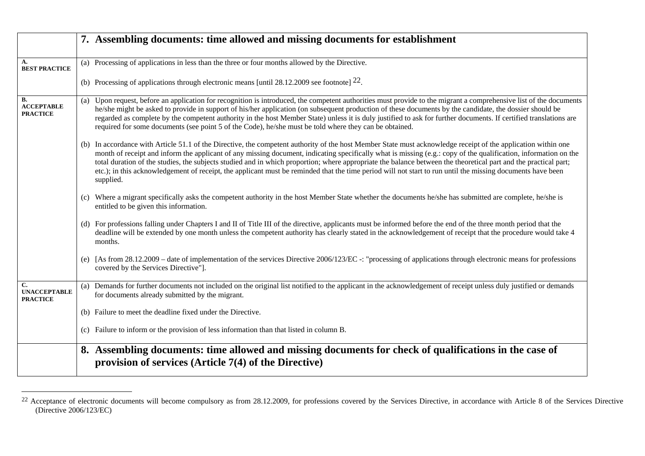|                                                   | 7. Assembling documents: time allowed and missing documents for establishment                                                                                                                                                                                                                                                                                                                                                                                                                                                                                                                                                                                                  |
|---------------------------------------------------|--------------------------------------------------------------------------------------------------------------------------------------------------------------------------------------------------------------------------------------------------------------------------------------------------------------------------------------------------------------------------------------------------------------------------------------------------------------------------------------------------------------------------------------------------------------------------------------------------------------------------------------------------------------------------------|
| A.<br><b>BEST PRACTICE</b>                        | (a) Processing of applications in less than the three or four months allowed by the Directive.                                                                                                                                                                                                                                                                                                                                                                                                                                                                                                                                                                                 |
|                                                   | (b) Processing of applications through electronic means [until 28.12.2009 see footnote] $22$ .                                                                                                                                                                                                                                                                                                                                                                                                                                                                                                                                                                                 |
| <b>B.</b><br><b>ACCEPTABLE</b><br><b>PRACTICE</b> | Upon request, before an application for recognition is introduced, the competent authorities must provide to the migrant a comprehensive list of the documents<br>(a)<br>he/she might be asked to provide in support of his/her application (on subsequent production of these documents by the candidate, the dossier should be<br>regarded as complete by the competent authority in the host Member State) unless it is duly justified to ask for further documents. If certified translations are<br>required for some documents (see point 5 of the Code), he/she must be told where they can be obtained.                                                                |
|                                                   | (b) In accordance with Article 51.1 of the Directive, the competent authority of the host Member State must acknowledge receipt of the application within one<br>month of receipt and inform the applicant of any missing document, indicating specifically what is missing (e.g.: copy of the qualification, information on the<br>total duration of the studies, the subjects studied and in which proportion; where appropriate the balance between the theoretical part and the practical part;<br>etc.); in this acknowledgement of receipt, the applicant must be reminded that the time period will not start to run until the missing documents have been<br>supplied. |
|                                                   | (c) Where a migrant specifically asks the competent authority in the host Member State whether the documents he/she has submitted are complete, he/she is<br>entitled to be given this information.                                                                                                                                                                                                                                                                                                                                                                                                                                                                            |
|                                                   | (d) For professions falling under Chapters I and II of Title III of the directive, applicants must be informed before the end of the three month period that the<br>deadline will be extended by one month unless the competent authority has clearly stated in the acknowledgement of receipt that the procedure would take 4<br>months.                                                                                                                                                                                                                                                                                                                                      |
|                                                   | (e) [As from 28.12.2009 – date of implementation of the services Directive 2006/123/EC -: "processing of applications through electronic means for professions<br>covered by the Services Directive"].                                                                                                                                                                                                                                                                                                                                                                                                                                                                         |
| C.<br><b>UNACCEPTABLE</b><br><b>PRACTICE</b>      | (a) Demands for further documents not included on the original list notified to the applicant in the acknowledgement of receipt unless duly justified or demands<br>for documents already submitted by the migrant.                                                                                                                                                                                                                                                                                                                                                                                                                                                            |
|                                                   | (b) Failure to meet the deadline fixed under the Directive.                                                                                                                                                                                                                                                                                                                                                                                                                                                                                                                                                                                                                    |
|                                                   | (c) Failure to inform or the provision of less information than that listed in column B.                                                                                                                                                                                                                                                                                                                                                                                                                                                                                                                                                                                       |
|                                                   | 8. Assembling documents: time allowed and missing documents for check of qualifications in the case of<br>provision of services (Article $7(4)$ of the Directive)                                                                                                                                                                                                                                                                                                                                                                                                                                                                                                              |

<sup>&</sup>lt;sup>22</sup> Acceptance of electronic documents will become compulsory as from 28.12.2009, for professions covered by the Services Directive, in accordance with Article 8 of the Services Directive (Directive 2006/123/EC)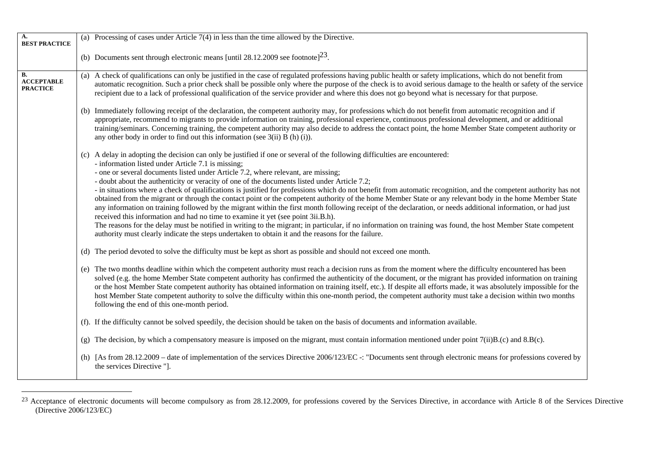| A.<br><b>BEST PRACTICE</b>                        | (a) Processing of cases under Article $7(4)$ in less than the time allowed by the Directive.                                                                                                                                                                                                                                                                                                                                                                                                                                                                                                                                                                                                                                                                                                                                                                                                                                                                                                                                                                                                                                                                                                                                        |
|---------------------------------------------------|-------------------------------------------------------------------------------------------------------------------------------------------------------------------------------------------------------------------------------------------------------------------------------------------------------------------------------------------------------------------------------------------------------------------------------------------------------------------------------------------------------------------------------------------------------------------------------------------------------------------------------------------------------------------------------------------------------------------------------------------------------------------------------------------------------------------------------------------------------------------------------------------------------------------------------------------------------------------------------------------------------------------------------------------------------------------------------------------------------------------------------------------------------------------------------------------------------------------------------------|
|                                                   | (b) Documents sent through electronic means [until 28.12.2009 see footnote] <sup>23</sup> .                                                                                                                                                                                                                                                                                                                                                                                                                                                                                                                                                                                                                                                                                                                                                                                                                                                                                                                                                                                                                                                                                                                                         |
| <b>B.</b><br><b>ACCEPTABLE</b><br><b>PRACTICE</b> | (a) A check of qualifications can only be justified in the case of regulated professions having public health or safety implications, which do not benefit from<br>automatic recognition. Such a prior check shall be possible only where the purpose of the check is to avoid serious damage to the health or safety of the service<br>recipient due to a lack of professional qualification of the service provider and where this does not go beyond what is necessary for that purpose.                                                                                                                                                                                                                                                                                                                                                                                                                                                                                                                                                                                                                                                                                                                                         |
|                                                   | (b) Immediately following receipt of the declaration, the competent authority may, for professions which do not benefit from automatic recognition and if<br>appropriate, recommend to migrants to provide information on training, professional experience, continuous professional development, and or additional<br>training/seminars. Concerning training, the competent authority may also decide to address the contact point, the home Member State competent authority or<br>any other body in order to find out this information (see $3(ii)$ B (h) (i)).                                                                                                                                                                                                                                                                                                                                                                                                                                                                                                                                                                                                                                                                  |
|                                                   | (c) A delay in adopting the decision can only be justified if one or several of the following difficulties are encountered:<br>- information listed under Article 7.1 is missing;<br>- one or several documents listed under Article 7.2, where relevant, are missing;<br>- doubt about the authenticity or veracity of one of the documents listed under Article 7.2;<br>- in situations where a check of qualifications is justified for professions which do not benefit from automatic recognition, and the competent authority has not<br>obtained from the migrant or through the contact point or the competent authority of the home Member State or any relevant body in the home Member State<br>any information on training followed by the migrant within the first month following receipt of the declaration, or needs additional information, or had just<br>received this information and had no time to examine it yet (see point 3ii.B.h).<br>The reasons for the delay must be notified in writing to the migrant; in particular, if no information on training was found, the host Member State competent<br>authority must clearly indicate the steps undertaken to obtain it and the reasons for the failure. |
|                                                   | (d) The period devoted to solve the difficulty must be kept as short as possible and should not exceed one month.                                                                                                                                                                                                                                                                                                                                                                                                                                                                                                                                                                                                                                                                                                                                                                                                                                                                                                                                                                                                                                                                                                                   |
|                                                   | (e) The two months deadline within which the competent authority must reach a decision runs as from the moment where the difficulty encountered has been<br>solved (e.g. the home Member State competent authority has confirmed the authenticity of the document, or the migrant has provided information on training<br>or the host Member State competent authority has obtained information on training itself, etc.). If despite all efforts made, it was absolutely impossible for the<br>host Member State competent authority to solve the difficulty within this one-month period, the competent authority must take a decision within two months<br>following the end of this one-month period.                                                                                                                                                                                                                                                                                                                                                                                                                                                                                                                           |
|                                                   | (f). If the difficulty cannot be solved speedily, the decision should be taken on the basis of documents and information available.                                                                                                                                                                                                                                                                                                                                                                                                                                                                                                                                                                                                                                                                                                                                                                                                                                                                                                                                                                                                                                                                                                 |
|                                                   | (g) The decision, by which a compensatory measure is imposed on the migrant, must contain information mentioned under point $7(ii)B(C)$ and $8.B(C)$ .                                                                                                                                                                                                                                                                                                                                                                                                                                                                                                                                                                                                                                                                                                                                                                                                                                                                                                                                                                                                                                                                              |
|                                                   | (h) [As from 28.12.2009 - date of implementation of the services Directive 2006/123/EC -: "Documents sent through electronic means for professions covered by<br>the services Directive "].                                                                                                                                                                                                                                                                                                                                                                                                                                                                                                                                                                                                                                                                                                                                                                                                                                                                                                                                                                                                                                         |

<sup>&</sup>lt;sup>23</sup> Acceptance of electronic documents will become compulsory as from 28.12.2009, for professions covered by the Services Directive, in accordance with Article 8 of the Services Directive (Directive 2006/123/EC)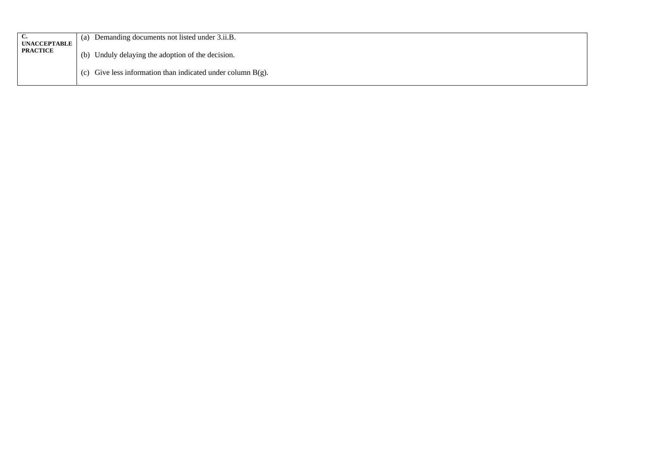| ~<br><b>UNACCEPTABLE</b> | Demanding documents not listed under 3.ii.B.<br>(a             |  |
|--------------------------|----------------------------------------------------------------|--|
| <b>PRACTICE</b>          | Unduly delaying the adoption of the decision.<br>(b)           |  |
|                          | (c) Give less information than indicated under column $B(g)$ . |  |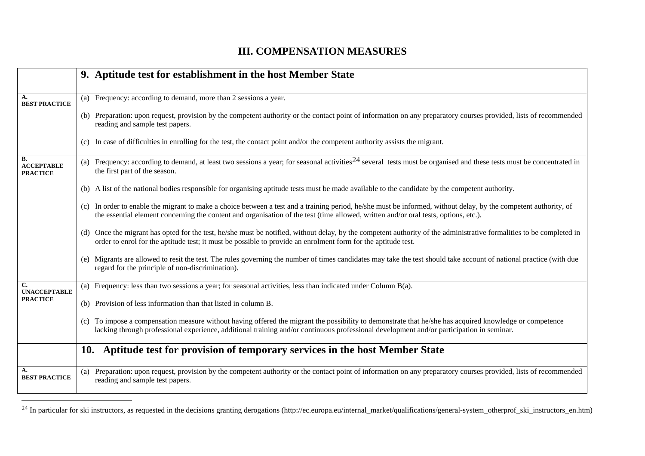#### **III. COMPENSATION MEASURES**

|                                            | 9. Aptitude test for establishment in the host Member State                                                                                                                                                                                                                                             |
|--------------------------------------------|---------------------------------------------------------------------------------------------------------------------------------------------------------------------------------------------------------------------------------------------------------------------------------------------------------|
| А.<br><b>BEST PRACTICE</b>                 | (a) Frequency: according to demand, more than 2 sessions a year.                                                                                                                                                                                                                                        |
|                                            | (b) Preparation: upon request, provision by the competent authority or the contact point of information on any preparatory courses provided, lists of recommended<br>reading and sample test papers.                                                                                                    |
|                                            | (c) In case of difficulties in enrolling for the test, the contact point and/or the competent authority assists the migrant.                                                                                                                                                                            |
| В.<br><b>ACCEPTABLE</b><br><b>PRACTICE</b> | (a) Frequency: according to demand, at least two sessions a year; for seasonal activities <sup>24</sup> several tests must be organised and these tests must be concentrated in<br>the first part of the season.                                                                                        |
|                                            | (b) A list of the national bodies responsible for organising aptitude tests must be made available to the candidate by the competent authority.                                                                                                                                                         |
|                                            | (c) In order to enable the migrant to make a choice between a test and a training period, he/she must be informed, without delay, by the competent authority, of<br>the essential element concerning the content and organisation of the test (time allowed, written and/or oral tests, options, etc.). |
|                                            | (d) Once the migrant has opted for the test, he/she must be notified, without delay, by the competent authority of the administrative formalities to be completed in<br>order to enrol for the aptitude test; it must be possible to provide an enrolment form for the aptitude test.                   |
|                                            | (e) Migrants are allowed to resit the test. The rules governing the number of times candidates may take the test should take account of national practice (with due<br>regard for the principle of non-discrimination).                                                                                 |
| C.<br><b>UNACCEPTABLE</b>                  | (a) Frequency: less than two sessions a year; for seasonal activities, less than indicated under Column $B(a)$ .                                                                                                                                                                                        |
| <b>PRACTICE</b>                            | (b) Provision of less information than that listed in column B.                                                                                                                                                                                                                                         |
|                                            | (c) To impose a compensation measure without having offered the migrant the possibility to demonstrate that he/she has acquired knowledge or competence<br>lacking through professional experience, additional training and/or continuous professional development and/or participation in seminar.     |
|                                            | Aptitude test for provision of temporary services in the host Member State<br>10.                                                                                                                                                                                                                       |
| А.<br><b>BEST PRACTICE</b>                 | (a) Preparation: upon request, provision by the competent authority or the contact point of information on any preparatory courses provided, lists of recommended<br>reading and sample test papers.                                                                                                    |

<sup>&</sup>lt;sup>24</sup> In particular for ski instructors, as requested in the decisions granting derogations (http://ec.europa.eu/internal\_market/qualifications/general-system\_otherprof\_ski\_instructors\_en.htm)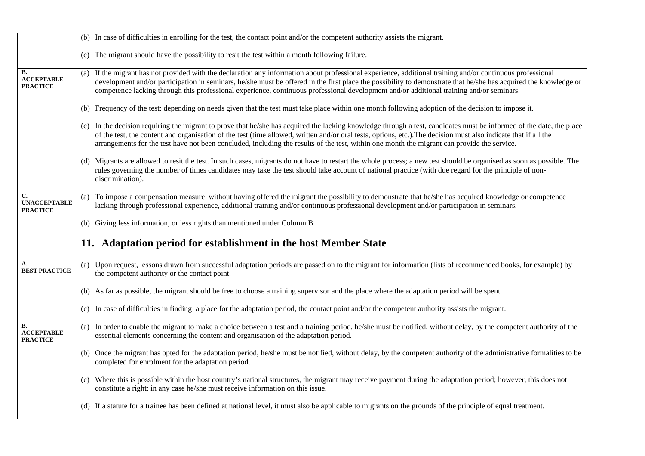|                                              | (b) In case of difficulties in enrolling for the test, the contact point and/or the competent authority assists the migrant.                                                                                                                                                                                                                                                                                                                                                           |
|----------------------------------------------|----------------------------------------------------------------------------------------------------------------------------------------------------------------------------------------------------------------------------------------------------------------------------------------------------------------------------------------------------------------------------------------------------------------------------------------------------------------------------------------|
|                                              | (c) The migrant should have the possibility to resit the test within a month following failure.                                                                                                                                                                                                                                                                                                                                                                                        |
| В.<br><b>ACCEPTABLE</b><br><b>PRACTICE</b>   | If the migrant has not provided with the declaration any information about professional experience, additional training and/or continuous professional<br>(a)<br>development and/or participation in seminars, he/she must be offered in the first place the possibility to demonstrate that he/she has acquired the knowledge or<br>competence lacking through this professional experience, continuous professional development and/or additional training and/or seminars.          |
|                                              | (b) Frequency of the test: depending on needs given that the test must take place within one month following adoption of the decision to impose it.                                                                                                                                                                                                                                                                                                                                    |
|                                              | (c) In the decision requiring the migrant to prove that he/she has acquired the lacking knowledge through a test, candidates must be informed of the date, the place<br>of the test, the content and organisation of the test (time allowed, written and/or oral tests, options, etc.). The decision must also indicate that if all the<br>arrangements for the test have not been concluded, including the results of the test, within one month the migrant can provide the service. |
|                                              | (d) Migrants are allowed to resit the test. In such cases, migrants do not have to restart the whole process; a new test should be organised as soon as possible. The<br>rules governing the number of times candidates may take the test should take account of national practice (with due regard for the principle of non-<br>discrimination).                                                                                                                                      |
| C.<br><b>UNACCEPTABLE</b><br><b>PRACTICE</b> | To impose a compensation measure without having offered the migrant the possibility to demonstrate that he/she has acquired knowledge or competence<br>(a)<br>lacking through professional experience, additional training and/or continuous professional development and/or participation in seminars.                                                                                                                                                                                |
|                                              | (b) Giving less information, or less rights than mentioned under Column B.                                                                                                                                                                                                                                                                                                                                                                                                             |
|                                              | 11. Adaptation period for establishment in the host Member State                                                                                                                                                                                                                                                                                                                                                                                                                       |
|                                              |                                                                                                                                                                                                                                                                                                                                                                                                                                                                                        |
| A.<br><b>BEST PRACTICE</b>                   | Upon request, lessons drawn from successful adaptation periods are passed on to the migrant for information (lists of recommended books, for example) by<br>(a)<br>the competent authority or the contact point.                                                                                                                                                                                                                                                                       |
|                                              | (b) As far as possible, the migrant should be free to choose a training supervisor and the place where the adaptation period will be spent.                                                                                                                                                                                                                                                                                                                                            |
|                                              | (c) In case of difficulties in finding a place for the adaptation period, the contact point and/or the competent authority assists the migrant.                                                                                                                                                                                                                                                                                                                                        |
| В.<br><b>ACCEPTABLE</b><br><b>PRACTICE</b>   | In order to enable the migrant to make a choice between a test and a training period, he/she must be notified, without delay, by the competent authority of the<br>(a)<br>essential elements concerning the content and organisation of the adaptation period.                                                                                                                                                                                                                         |
|                                              | (b) Once the migrant has opted for the adaptation period, he/she must be notified, without delay, by the competent authority of the administrative formalities to be<br>completed for enrolment for the adaptation period.                                                                                                                                                                                                                                                             |
|                                              | (c) Where this is possible within the host country's national structures, the migrant may receive payment during the adaptation period; however, this does not<br>constitute a right; in any case he/she must receive information on this issue.                                                                                                                                                                                                                                       |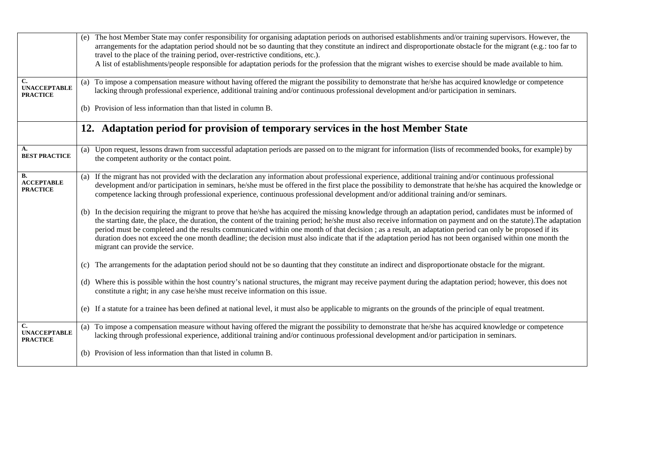|                                                          | The host Member State may confer responsibility for organising adaptation periods on authorised establishments and/or training supervisors. However, the<br>(e)<br>arrangements for the adaptation period should not be so daunting that they constitute an indirect and disproportionate obstacle for the migrant (e.g.: too far to<br>travel to the place of the training period, over-restrictive conditions, etc.).<br>A list of establishments/people responsible for adaptation periods for the profession that the migrant wishes to exercise should be made available to him.                                                                                                             |
|----------------------------------------------------------|---------------------------------------------------------------------------------------------------------------------------------------------------------------------------------------------------------------------------------------------------------------------------------------------------------------------------------------------------------------------------------------------------------------------------------------------------------------------------------------------------------------------------------------------------------------------------------------------------------------------------------------------------------------------------------------------------|
| $\mathbf{C}$ .<br><b>UNACCEPTABLE</b><br><b>PRACTICE</b> | To impose a compensation measure without having offered the migrant the possibility to demonstrate that he/she has acquired knowledge or competence<br>(a)<br>lacking through professional experience, additional training and/or continuous professional development and/or participation in seminars.                                                                                                                                                                                                                                                                                                                                                                                           |
|                                                          | (b) Provision of less information than that listed in column B.                                                                                                                                                                                                                                                                                                                                                                                                                                                                                                                                                                                                                                   |
|                                                          | 12. Adaptation period for provision of temporary services in the host Member State                                                                                                                                                                                                                                                                                                                                                                                                                                                                                                                                                                                                                |
| А.<br><b>BEST PRACTICE</b>                               | (a) Upon request, lessons drawn from successful adaptation periods are passed on to the migrant for information (lists of recommended books, for example) by<br>the competent authority or the contact point.                                                                                                                                                                                                                                                                                                                                                                                                                                                                                     |
| <b>B.</b><br><b>ACCEPTABLE</b><br><b>PRACTICE</b>        | (a) If the migrant has not provided with the declaration any information about professional experience, additional training and/or continuous professional<br>development and/or participation in seminars, he/she must be offered in the first place the possibility to demonstrate that he/she has acquired the knowledge or<br>competence lacking through professional experience, continuous professional development and/or additional training and/or seminars.                                                                                                                                                                                                                             |
|                                                          | (b) In the decision requiring the migrant to prove that he/she has acquired the missing knowledge through an adaptation period, candidates must be informed of<br>the starting date, the place, the duration, the content of the training period; he/she must also receive information on payment and on the statute). The adaptation<br>period must be completed and the results communicated within one month of that decision; as a result, an adaptation period can only be proposed if its<br>duration does not exceed the one month deadline; the decision must also indicate that if the adaptation period has not been organised within one month the<br>migrant can provide the service. |
|                                                          | The arrangements for the adaptation period should not be so daunting that they constitute an indirect and disproportionate obstacle for the migrant.<br>(c)                                                                                                                                                                                                                                                                                                                                                                                                                                                                                                                                       |
|                                                          | (d) Where this is possible within the host country's national structures, the migrant may receive payment during the adaptation period; however, this does not<br>constitute a right; in any case he/she must receive information on this issue.                                                                                                                                                                                                                                                                                                                                                                                                                                                  |
|                                                          | (e) If a statute for a trainee has been defined at national level, it must also be applicable to migrants on the grounds of the principle of equal treatment.                                                                                                                                                                                                                                                                                                                                                                                                                                                                                                                                     |
| C.<br><b>UNACCEPTABLE</b><br><b>PRACTICE</b>             | (a) To impose a compensation measure without having offered the migrant the possibility to demonstrate that he/she has acquired knowledge or competence<br>lacking through professional experience, additional training and/or continuous professional development and/or participation in seminars.                                                                                                                                                                                                                                                                                                                                                                                              |
|                                                          | (b) Provision of less information than that listed in column B.                                                                                                                                                                                                                                                                                                                                                                                                                                                                                                                                                                                                                                   |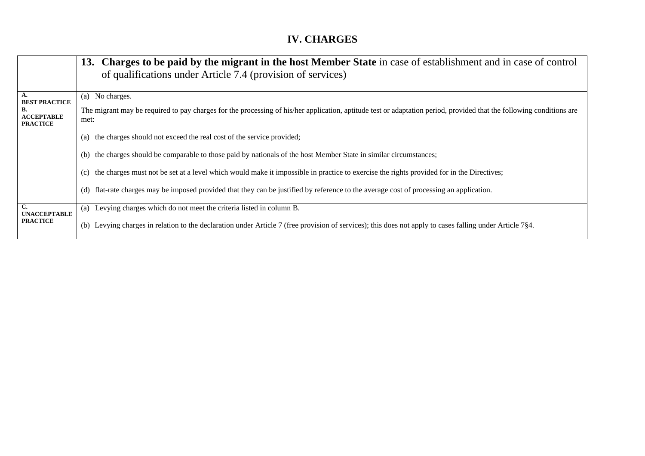## **IV. CHARGES**

|                                            | 13. Charges to be paid by the migrant in the host Member State in case of establishment and in case of control<br>of qualifications under Article 7.4 (provision of services) |
|--------------------------------------------|-------------------------------------------------------------------------------------------------------------------------------------------------------------------------------|
| A.<br><b>BEST PRACTICE</b>                 | (a) No charges.                                                                                                                                                               |
| В.<br><b>ACCEPTABLE</b><br><b>PRACTICE</b> | The migrant may be required to pay charges for the processing of his/her application, aptitude test or adaptation period, provided that the following conditions are<br>met:  |
|                                            | the charges should not exceed the real cost of the service provided;<br>(a)                                                                                                   |
|                                            | the charges should be comparable to those paid by nationals of the host Member State in similar circumstances;<br>(b)                                                         |
|                                            | the charges must not be set at a level which would make it impossible in practice to exercise the rights provided for in the Directives;<br>(c)                               |
|                                            | flat-rate charges may be imposed provided that they can be justified by reference to the average cost of processing an application.<br>(d)                                    |
| $\mathbf{C}$<br><b>UNACCEPTABLE</b>        | (a) Levying charges which do not meet the criteria listed in column B.                                                                                                        |
| <b>PRACTICE</b>                            | (b) Levying charges in relation to the declaration under Article 7 (free provision of services); this does not apply to cases falling under Article 7§4.                      |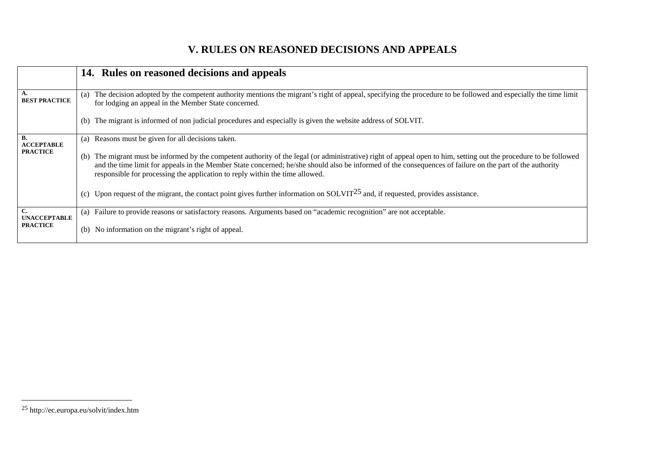### **V. RULES ON REASONED DECISIONS AND APPEALS**

|                                | 14. Rules on reasoned decisions and appeals                                                                                                                                                                                                                                                                                                                                                                       |
|--------------------------------|-------------------------------------------------------------------------------------------------------------------------------------------------------------------------------------------------------------------------------------------------------------------------------------------------------------------------------------------------------------------------------------------------------------------|
| A.<br><b>BEST PRACTICE</b>     | The decision adopted by the competent authority mentions the migrant's right of appeal, specifying the procedure to be followed and especially the time limit<br>(a)<br>for lodging an appeal in the Member State concerned.                                                                                                                                                                                      |
|                                | The migrant is informed of non judicial procedures and especially is given the website address of SOLVIT.<br>(b)                                                                                                                                                                                                                                                                                                  |
| <b>B.</b><br><b>ACCEPTABLE</b> | (a) Reasons must be given for all decisions taken.                                                                                                                                                                                                                                                                                                                                                                |
| <b>PRACTICE</b>                | The migrant must be informed by the competent authority of the legal (or administrative) right of appeal open to him, setting out the procedure to be followed<br>(b)<br>and the time limit for appeals in the Member State concerned; he/she should also be informed of the consequences of failure on the part of the authority<br>responsible for processing the application to reply within the time allowed. |
|                                | Upon request of the migrant, the contact point gives further information on SOLVIT <sup>25</sup> and, if requested, provides assistance.<br>(c)                                                                                                                                                                                                                                                                   |
| <b>UNACCEPTABLE</b>            | Failure to provide reasons or satisfactory reasons. Arguments based on "academic recognition" are not acceptable.<br>(a)                                                                                                                                                                                                                                                                                          |
| <b>PRACTICE</b>                | No information on the migrant's right of appeal.<br>(b)                                                                                                                                                                                                                                                                                                                                                           |

<sup>25</sup> http://ec.europa.eu/solvit/index.htm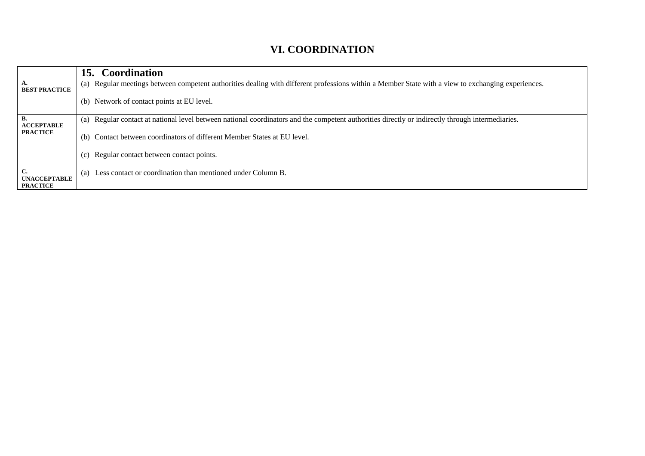#### **VI. COORDINATION**

|                         | 15. Coordination                                                                                                                                   |
|-------------------------|----------------------------------------------------------------------------------------------------------------------------------------------------|
| <b>BEST PRACTICE</b>    | (a) Regular meetings between competent authorities dealing with different professions within a Member State with a view to exchanging experiences. |
|                         | (b) Network of contact points at EU level.                                                                                                         |
| В.<br><b>ACCEPTABLE</b> | (a) Regular contact at national level between national coordinators and the competent authorities directly or indirectly through intermediaries.   |
| <b>PRACTICE</b>         | (b) Contact between coordinators of different Member States at EU level.                                                                           |
|                         | (c) Regular contact between contact points.                                                                                                        |
| <b>UNACCEPTABLE</b>     | Less contact or coordination than mentioned under Column B.<br>(a)                                                                                 |
| <b>PRACTICE</b>         |                                                                                                                                                    |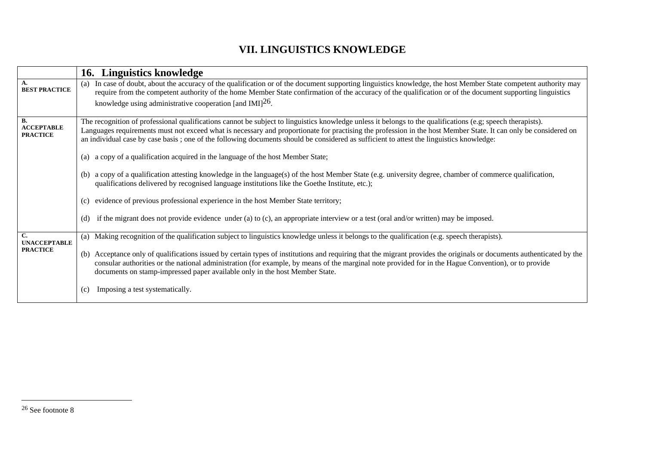### **VII. LINGUISTICS KNOWLEDGE**

|                                              | 16. Linguistics knowledge                                                                                                                                                                                                                                                                                                                                                                                                                                                                                                                                                                                                                                                                                                                                                                                                     |
|----------------------------------------------|-------------------------------------------------------------------------------------------------------------------------------------------------------------------------------------------------------------------------------------------------------------------------------------------------------------------------------------------------------------------------------------------------------------------------------------------------------------------------------------------------------------------------------------------------------------------------------------------------------------------------------------------------------------------------------------------------------------------------------------------------------------------------------------------------------------------------------|
| <b>BEST PRACTICE</b>                         | In case of doubt, about the accuracy of the qualification or of the document supporting linguistics knowledge, the host Member State competent authority may<br>(a)<br>require from the competent authority of the home Member State confirmation of the accuracy of the qualification or of the document supporting linguistics<br>knowledge using administrative cooperation [and IMI] $^{26}$ .                                                                                                                                                                                                                                                                                                                                                                                                                            |
| В.<br><b>ACCEPTABLE</b><br><b>PRACTICE</b>   | The recognition of professional qualifications cannot be subject to linguistics knowledge unless it belongs to the qualifications (e.g; speech therapists).<br>Languages requirements must not exceed what is necessary and proportionate for practising the profession in the host Member State. It can only be considered on<br>an individual case by case basis; one of the following documents should be considered as sufficient to attest the linguistics knowledge:<br>(a) a copy of a qualification acquired in the language of the host Member State;<br>(b) a copy of a qualification attesting knowledge in the language(s) of the host Member State (e.g. university degree, chamber of commerce qualification,<br>qualifications delivered by recognised language institutions like the Goethe Institute, etc.); |
|                                              | evidence of previous professional experience in the host Member State territory;<br>(c)<br>if the migrant does not provide evidence under (a) to (c), an appropriate interview or a test (oral and/or written) may be imposed.<br>(d)                                                                                                                                                                                                                                                                                                                                                                                                                                                                                                                                                                                         |
| C.<br><b>UNACCEPTABLE</b><br><b>PRACTICE</b> | (a) Making recognition of the qualification subject to linguistics knowledge unless it belongs to the qualification (e.g. speech therapists).<br>(b) Acceptance only of qualifications issued by certain types of institutions and requiring that the migrant provides the originals or documents authenticated by the<br>consular authorities or the national administration (for example, by means of the marginal note provided for in the Hague Convention), or to provide<br>documents on stamp-impressed paper available only in the host Member State.<br>Imposing a test systematically.<br>(c)                                                                                                                                                                                                                       |

<sup>26</sup> See footnote 8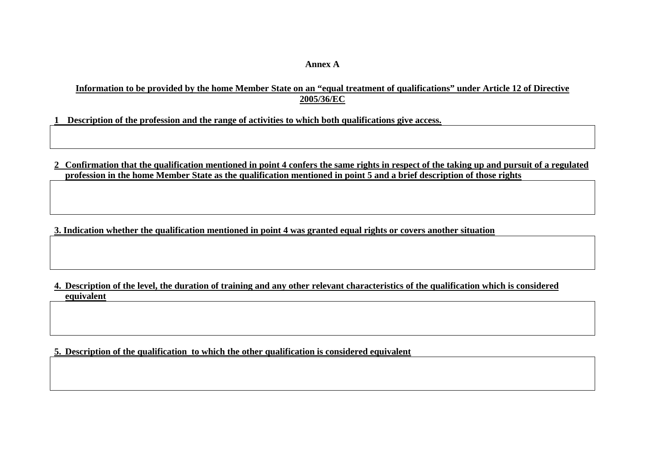#### **Annex A**

#### **Information to be provided by the home Member State on an "equal treatment of qualifications" under Article 12 of Directive 2005/36/EC**

**1 Description of the profession and the range of activities to which both qualifications give access.** 

**2 Confirmation that the qualification mentioned in point 4 confers the same rights in respect of the taking up and pursuit of a regulated profession in the home Member State as the qualification mentioned in point 5 and a brief description of those rights**

**3. Indication whether the qualification mentioned in point 4 was granted equal rights or covers another situation** 

**4. Description of the level, the duration of training and any other relevant characteristics of the qualification which is considered equivalent** 

**5. Description of the qualification to which the other qualification is considered equivalent**